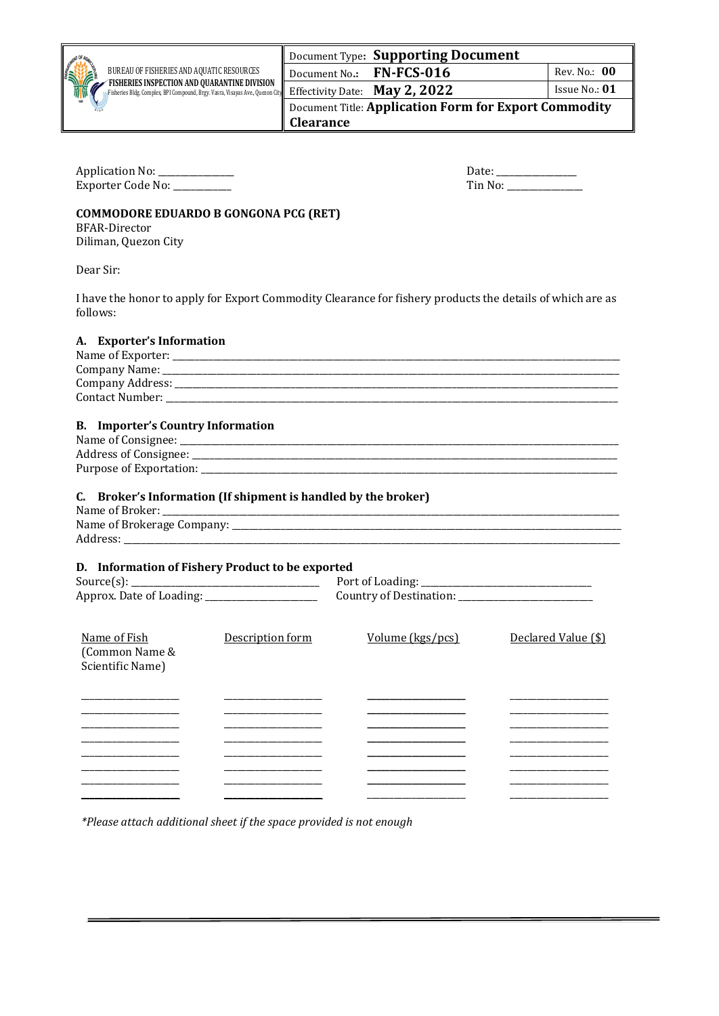|  | CANAL C |
|--|---------|
|  |         |

Fisheries Bldg. Complex, BPI Compound, Brgy. Vasra, Visayas Ave., Quezon City

## Document Type**: Supporting Document Document No.: FN-FCS-016**

| Rev. No.: 00 |  |
|--------------|--|

Effectivity Date: **May 2, 2022** Issue No.: 01 Document Title: **Application Form for Export Commodity Clearance**

Application No: \_\_\_\_\_\_\_\_\_\_\_\_\_\_\_\_\_ Date: \_\_\_\_\_\_\_\_\_\_\_\_\_\_\_\_\_\_ Exporter Code No: \_\_\_\_\_\_\_\_\_\_

## **COMMODORE EDUARDO B GONGONA PCG (RET)**

BFAR-Director

Diliman, Quezon City

Dear Sir:

I have the honor to apply for Export Commodity Clearance for fishery products the details of which are as follows:

| A. Exporter's Information                                      |                                      |                     |  |  |  |  |  |  |  |
|----------------------------------------------------------------|--------------------------------------|---------------------|--|--|--|--|--|--|--|
|                                                                |                                      |                     |  |  |  |  |  |  |  |
|                                                                |                                      |                     |  |  |  |  |  |  |  |
|                                                                |                                      |                     |  |  |  |  |  |  |  |
| <b>B.</b> Importer's Country Information                       |                                      |                     |  |  |  |  |  |  |  |
|                                                                |                                      |                     |  |  |  |  |  |  |  |
|                                                                |                                      |                     |  |  |  |  |  |  |  |
|                                                                |                                      |                     |  |  |  |  |  |  |  |
| C. Broker's Information (If shipment is handled by the broker) |                                      |                     |  |  |  |  |  |  |  |
|                                                                |                                      |                     |  |  |  |  |  |  |  |
|                                                                |                                      |                     |  |  |  |  |  |  |  |
| D. Information of Fishery Product to be exported               |                                      |                     |  |  |  |  |  |  |  |
|                                                                |                                      |                     |  |  |  |  |  |  |  |
| Name of Fish<br>(Common Name &<br>Scientific Name)             | Description form<br>Volume (kgs/pcs) | Declared Value (\$) |  |  |  |  |  |  |  |
|                                                                |                                      |                     |  |  |  |  |  |  |  |
|                                                                |                                      |                     |  |  |  |  |  |  |  |
|                                                                |                                      |                     |  |  |  |  |  |  |  |
|                                                                |                                      |                     |  |  |  |  |  |  |  |

*\*Please attach additional sheet if the space provided is not enough*